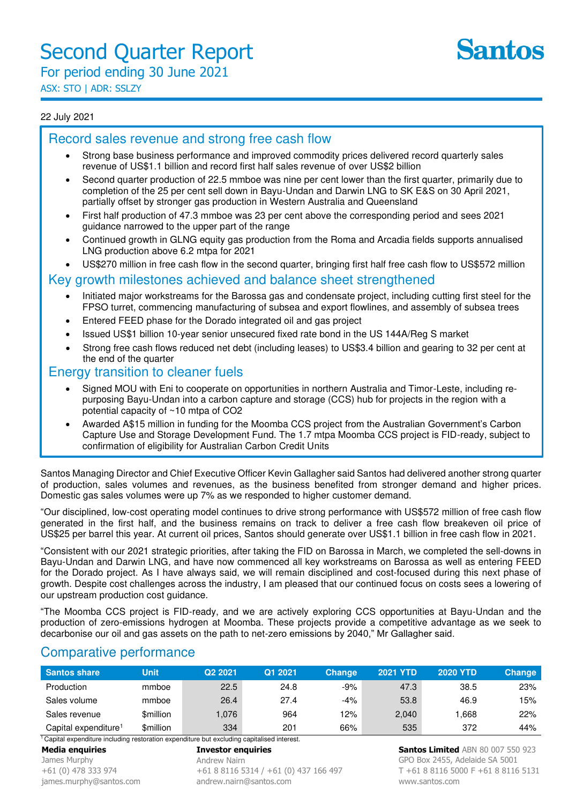ASX: STO | ADR: SSLZY

#### 22 July 2021

## Record sales revenue and strong free cash flow

- Strong base business performance and improved commodity prices delivered record quarterly sales revenue of US\$1.1 billion and record first half sales revenue of over US\$2 billion
- Second quarter production of 22.5 mmboe was nine per cent lower than the first quarter, primarily due to completion of the 25 per cent sell down in Bayu-Undan and Darwin LNG to SK E&S on 30 April 2021, partially offset by stronger gas production in Western Australia and Queensland
- First half production of 47.3 mmboe was 23 per cent above the corresponding period and sees 2021 guidance narrowed to the upper part of the range
- Continued growth in GLNG equity gas production from the Roma and Arcadia fields supports annualised LNG production above 6.2 mtpa for 2021

• US\$270 million in free cash flow in the second quarter, bringing first half free cash flow to US\$572 million

### Key growth milestones achieved and balance sheet strengthened

- Initiated major workstreams for the Barossa gas and condensate project, including cutting first steel for the FPSO turret, commencing manufacturing of subsea and export flowlines, and assembly of subsea trees
- Entered FEED phase for the Dorado integrated oil and gas project
- Issued US\$1 billion 10-year senior unsecured fixed rate bond in the US 144A/Reg S market
- Strong free cash flows reduced net debt (including leases) to US\$3.4 billion and gearing to 32 per cent at the end of the quarter

### Energy transition to cleaner fuels

- Signed MOU with Eni to cooperate on opportunities in northern Australia and Timor-Leste, including repurposing Bayu-Undan into a carbon capture and storage (CCS) hub for projects in the region with a potential capacity of ~10 mtpa of CO2
- Awarded A\$15 million in funding for the Moomba CCS project from the Australian Government's Carbon Capture Use and Storage Development Fund. The 1.7 mtpa Moomba CCS project is FID-ready, subject to confirmation of eligibility for Australian Carbon Credit Units

Santos Managing Director and Chief Executive Officer Kevin Gallagher said Santos had delivered another strong quarter of production, sales volumes and revenues, as the business benefited from stronger demand and higher prices. Domestic gas sales volumes were up 7% as we responded to higher customer demand.

"Our disciplined, low-cost operating model continues to drive strong performance with US\$572 million of free cash flow generated in the first half, and the business remains on track to deliver a free cash flow breakeven oil price of US\$25 per barrel this year. At current oil prices, Santos should generate over US\$1.1 billion in free cash flow in 2021.

"Consistent with our 2021 strategic priorities, after taking the FID on Barossa in March, we completed the sell-downs in Bayu-Undan and Darwin LNG, and have now commenced all key workstreams on Barossa as well as entering FEED for the Dorado project. As I have always said, we will remain disciplined and cost-focused during this next phase of growth. Despite cost challenges across the industry, I am pleased that our continued focus on costs sees a lowering of our upstream production cost guidance.

"The Moomba CCS project is FID-ready, and we are actively exploring CCS opportunities at Bayu-Undan and the production of zero-emissions hydrogen at Moomba. These projects provide a competitive advantage as we seek to decarbonise our oil and gas assets on the path to net-zero emissions by 2040," Mr Gallagher said.

### Comparative performance

| Santos share                     | Unit      | Q <sub>2</sub> 2021 | Q1 2021 | <b>Change</b> | <b>2021 YTD</b> | <b>2020 YTD</b> | <b>Change</b> |
|----------------------------------|-----------|---------------------|---------|---------------|-----------------|-----------------|---------------|
| Production                       | mmboe     | 22.5                | 24.8    | $-9%$         | 47.3            | 38.5            | 23%           |
| Sales volume                     | mmboe     | 26.4                | 27.4    | -4%           | 53.8            | 46.9            | 15%           |
| Sales revenue                    | \$million | 0.076               | 964     | 12%           | 2,040           | .668            | 22%           |
| Capital expenditure <sup>1</sup> | \$million | 334                 | 201     | 66%           | 535             | 372             | 44%           |

**Media enquiries Investor enquiries**  <sup>1</sup> Capital expenditure including restoration expenditure but excluding capitalised interest.

James Murphy

+61 (0) 478 333 974 james.murphy@santos.com Andrew Nairn +61 8 8116 5314 / +61 (0) 437 166 497 andrew.nairn@santos.com

**Santos Limited** ABN 80 007 550 923 GPO Box 2455, Adelaide SA 5001 T +61 8 8116 5000 F +61 8 8116 5131 www.santos.com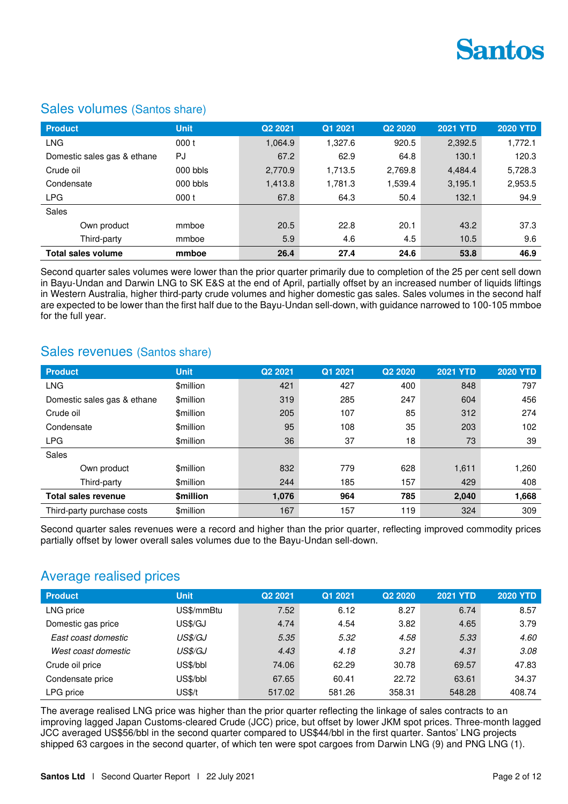

| <b>Product</b>              | <b>Unit</b> | Q2 2021 | Q1 2021 | Q2 2020 | <b>2021 YTD</b> | <b>2020 YTD</b> |
|-----------------------------|-------------|---------|---------|---------|-----------------|-----------------|
| <b>LNG</b>                  | 000t        | 1,064.9 | 1.327.6 | 920.5   | 2,392.5         | 1,772.1         |
| Domestic sales gas & ethane | PJ          | 67.2    | 62.9    | 64.8    | 130.1           | 120.3           |
| Crude oil                   | $000$ bbls  | 2,770.9 | 1,713.5 | 2,769.8 | 4.484.4         | 5,728.3         |
| Condensate                  | $000$ bbls  | 1,413.8 | 1,781.3 | 1,539.4 | 3,195.1         | 2,953.5         |
| <b>LPG</b>                  | 000t        | 67.8    | 64.3    | 50.4    | 132.1           | 94.9            |
| <b>Sales</b>                |             |         |         |         |                 |                 |
| Own product                 | mmboe       | 20.5    | 22.8    | 20.1    | 43.2            | 37.3            |
| Third-party                 | mmboe       | 5.9     | 4.6     | 4.5     | 10.5            | 9.6             |
| <b>Total sales volume</b>   | mmboe       | 26.4    | 27.4    | 24.6    | 53.8            | 46.9            |

### Sales volumes (Santos share)

Second quarter sales volumes were lower than the prior quarter primarily due to completion of the 25 per cent sell down in Bayu-Undan and Darwin LNG to SK E&S at the end of April, partially offset by an increased number of liquids liftings in Western Australia, higher third-party crude volumes and higher domestic gas sales. Sales volumes in the second half are expected to be lower than the first half due to the Bayu-Undan sell-down, with guidance narrowed to 100-105 mmboe for the full year.

### Sales revenues (Santos share)

| <b>Product</b>              | <b>Unit</b>     | Q <sub>2</sub> 20 <sub>21</sub> | Q1 2021 | Q <sub>2</sub> 20 <sub>20</sub> | <b>2021 YTD</b> | <b>2020 YTD</b> |
|-----------------------------|-----------------|---------------------------------|---------|---------------------------------|-----------------|-----------------|
| <b>LNG</b>                  | \$million       | 421                             | 427     | 400                             | 848             | 797             |
| Domestic sales gas & ethane | <b>Smillion</b> | 319                             | 285     | 247                             | 604             | 456             |
| Crude oil                   | \$million       | 205                             | 107     | 85                              | 312             | 274             |
| Condensate                  | <b>Smillion</b> | 95                              | 108     | 35                              | 203             | 102             |
| <b>LPG</b>                  | <b>Smillion</b> | 36                              | 37      | 18                              | 73              | 39              |
| Sales                       |                 |                                 |         |                                 |                 |                 |
| Own product                 | \$million       | 832                             | 779     | 628                             | 1,611           | 1,260           |
| Third-party                 | \$million       | 244                             | 185     | 157                             | 429             | 408             |
| <b>Total sales revenue</b>  | <b>Smillion</b> | 1,076                           | 964     | 785                             | 2,040           | 1,668           |
| Third-party purchase costs  | \$million       | 167                             | 157     | 119                             | 324             | 309             |

Second quarter sales revenues were a record and higher than the prior quarter, reflecting improved commodity prices partially offset by lower overall sales volumes due to the Bayu-Undan sell-down.

### Average realised prices

| <b>Product</b>      | <b>Unit</b>   | Q <sub>2</sub> 2021 | Q1 2021 | Q <sub>2</sub> 20 <sub>20</sub> | <b>2021 YTD</b> | <b>2020 YTD</b> |
|---------------------|---------------|---------------------|---------|---------------------------------|-----------------|-----------------|
| LNG price           | US\$/mmBtu    | 7.52                | 6.12    | 8.27                            | 6.74            | 8.57            |
| Domestic gas price  | US\$/GJ       | 4.74                | 4.54    | 3.82                            | 4.65            | 3.79            |
| East coast domestic | US\$/GJ       | 5.35                | 5.32    | 4.58                            | 5.33            | 4.60            |
| West coast domestic | US\$/GJ       | 4.43                | 4.18    | 3.21                            | 4.31            | 3.08            |
| Crude oil price     | US\$/bbl      | 74.06               | 62.29   | 30.78                           | 69.57           | 47.83           |
| Condensate price    | US\$/bbl      | 67.65               | 60.41   | 22.72                           | 63.61           | 34.37           |
| LPG price           | <b>US\$/t</b> | 517.02              | 581.26  | 358.31                          | 548.28          | 408.74          |

The average realised LNG price was higher than the prior quarter reflecting the linkage of sales contracts to an improving lagged Japan Customs-cleared Crude (JCC) price, but offset by lower JKM spot prices. Three-month lagged JCC averaged US\$56/bbl in the second quarter compared to US\$44/bbl in the first quarter. Santos' LNG projects shipped 63 cargoes in the second quarter, of which ten were spot cargoes from Darwin LNG (9) and PNG LNG (1).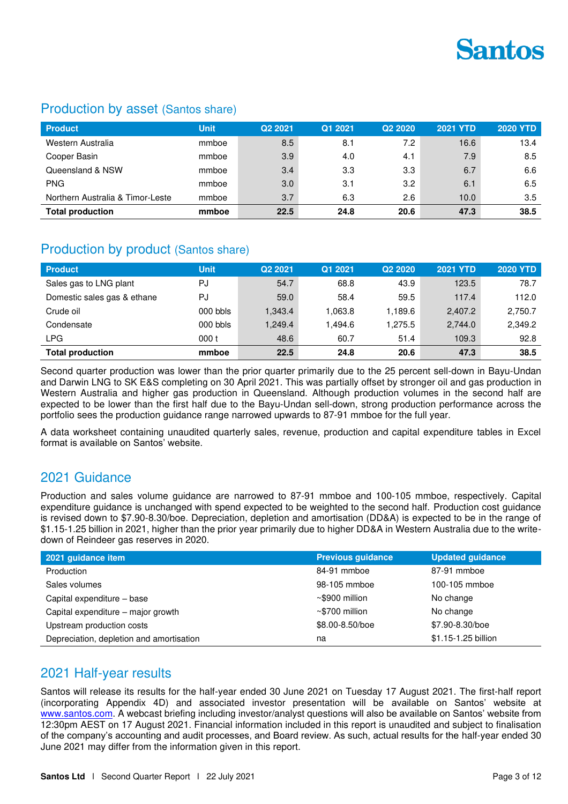

### Production by asset (Santos share)

| <b>Product</b>                   | <b>Unit</b> | Q <sub>2</sub> 2021 | Q1 2021 | Q <sub>2</sub> 20 <sub>20</sub> | <b>2021 YTD</b> | 2020 YTD |
|----------------------------------|-------------|---------------------|---------|---------------------------------|-----------------|----------|
| Western Australia                | mmboe       | 8.5                 | 8.1     | 7.2                             | 16.6            | 13.4     |
| Cooper Basin                     | mmboe       | 3.9                 | 4.0     | 4.1                             | 7.9             | 8.5      |
| Queensland & NSW                 | mmboe       | 3.4                 | 3.3     | 3.3                             | 6.7             | 6.6      |
| <b>PNG</b>                       | mmboe       | 3.0                 | 3.1     | 3.2                             | 6.1             | 6.5      |
| Northern Australia & Timor-Leste | mmboe       | 3.7                 | 6.3     | 2.6                             | 10.0            | 3.5      |
| <b>Total production</b>          | mmboe       | 22.5                | 24.8    | 20.6                            | 47.3            | 38.5     |

### Production by product (Santos share)

| <b>Product</b>              | <b>Unit</b> | Q <sub>2</sub> 2021 | Q1 2021 | Q <sub>2</sub> 20 <sub>20</sub> | <b>2021 YTD</b> | <b>2020 YTD</b> |
|-----------------------------|-------------|---------------------|---------|---------------------------------|-----------------|-----------------|
| Sales gas to LNG plant      | PJ          | 54.7                | 68.8    | 43.9                            | 123.5           | 78.7            |
| Domestic sales gas & ethane | PJ          | 59.0                | 58.4    | 59.5                            | 117.4           | 112.0           |
| Crude oil                   | $000$ bbls  | 1,343.4             | 1.063.8 | 1.189.6                         | 2,407.2         | 2,750.7         |
| Condensate                  | 000 bbls    | 1.249.4             | 1.494.6 | 1.275.5                         | 2.744.0         | 2.349.2         |
| <b>LPG</b>                  | 000 t       | 48.6                | 60.7    | 51.4                            | 109.3           | 92.8            |
| <b>Total production</b>     | mmboe       | 22.5                | 24.8    | 20.6                            | 47.3            | 38.5            |

Second quarter production was lower than the prior quarter primarily due to the 25 percent sell-down in Bayu-Undan and Darwin LNG to SK E&S completing on 30 April 2021. This was partially offset by stronger oil and gas production in Western Australia and higher gas production in Queensland. Although production volumes in the second half are expected to be lower than the first half due to the Bayu-Undan sell-down, strong production performance across the portfolio sees the production guidance range narrowed upwards to 87-91 mmboe for the full year.

A data worksheet containing unaudited quarterly sales, revenue, production and capital expenditure tables in Excel format is available on Santos' website.

### 2021 Guidance

Production and sales volume guidance are narrowed to 87-91 mmboe and 100-105 mmboe, respectively. Capital expenditure guidance is unchanged with spend expected to be weighted to the second half. Production cost guidance is revised down to \$7.90-8.30/boe. Depreciation, depletion and amortisation (DD&A) is expected to be in the range of \$1.15-1.25 billion in 2021, higher than the prior year primarily due to higher DD&A in Western Australia due to the writedown of Reindeer gas reserves in 2020.

| 2021 guidance item                       | <b>Previous guidance</b> | <b>Updated guidance</b> |
|------------------------------------------|--------------------------|-------------------------|
| Production                               | 84-91 mmboe              | 87-91 mmboe             |
| Sales volumes                            | 98-105 mmboe             | 100-105 mmboe           |
| Capital expenditure - base               | $~\sim$ \$900 million    | No change               |
| Capital expenditure – major growth       | $\sim$ \$700 million     | No change               |
| Upstream production costs                | \$8.00-8.50/boe          | \$7.90-8.30/boe         |
| Depreciation, depletion and amortisation | na                       | \$1.15-1.25 billion     |

## 2021 Half-year results

Santos will release its results for the half-year ended 30 June 2021 on Tuesday 17 August 2021. The first-half report (incorporating Appendix 4D) and associated investor presentation will be available on Santos' website at [www.santos.com.](http://www.santos.com/) A webcast briefing including investor/analyst questions will also be available on Santos' website from 12:30pm AEST on 17 August 2021. Financial information included in this report is unaudited and subject to finalisation of the company's accounting and audit processes, and Board review. As such, actual results for the half-year ended 30 June 2021 may differ from the information given in this report.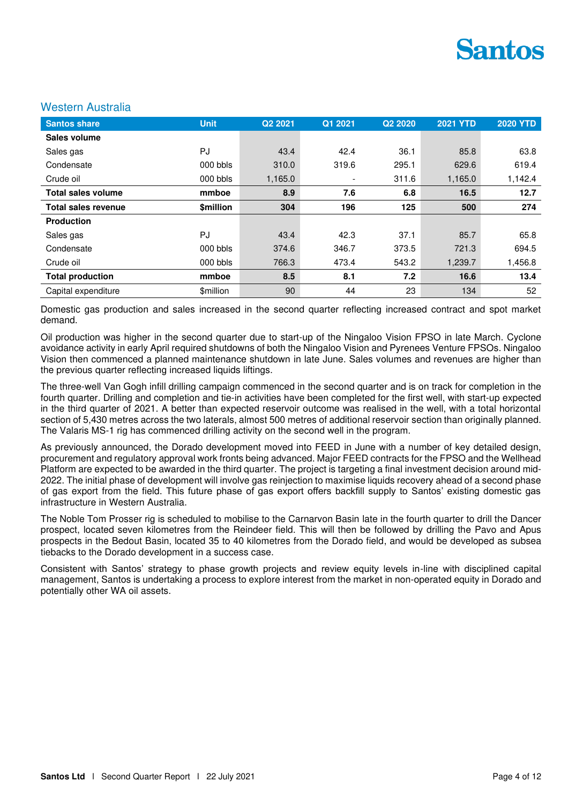#### Western Australia

| <b>Santos share</b>        | <b>Unit</b>      | Q2 2021 | Q1 2021 | Q <sub>2</sub> 2020 | <b>2021 YTD</b> | <b>2020 YTD</b> |
|----------------------------|------------------|---------|---------|---------------------|-----------------|-----------------|
| Sales volume               |                  |         |         |                     |                 |                 |
| Sales gas                  | <b>PJ</b>        | 43.4    | 42.4    | 36.1                | 85.8            | 63.8            |
| Condensate                 | $000$ bbls       | 310.0   | 319.6   | 295.1               | 629.6           | 619.4           |
| Crude oil                  | 000 bbls         | 1,165.0 |         | 311.6               | 1,165.0         | 1,142.4         |
| Total sales volume         | mmboe            | 8.9     | 7.6     | 6.8                 | 16.5            | 12.7            |
| <b>Total sales revenue</b> | <b>Smillion</b>  | 304     | 196     | 125                 | 500             | 274             |
| <b>Production</b>          |                  |         |         |                     |                 |                 |
| Sales gas                  | PJ               | 43.4    | 42.3    | 37.1                | 85.7            | 65.8            |
| Condensate                 | $000$ bbls       | 374.6   | 346.7   | 373.5               | 721.3           | 694.5           |
| Crude oil                  | 000 bbls         | 766.3   | 473.4   | 543.2               | 1,239.7         | 1,456.8         |
| <b>Total production</b>    | mmboe            | 8.5     | 8.1     | 7.2                 | 16.6            | 13.4            |
| Capital expenditure        | <b>\$million</b> | 90      | 44      | 23                  | 134             | 52              |

Domestic gas production and sales increased in the second quarter reflecting increased contract and spot market demand.

Oil production was higher in the second quarter due to start-up of the Ningaloo Vision FPSO in late March. Cyclone avoidance activity in early April required shutdowns of both the Ningaloo Vision and Pyrenees Venture FPSOs. Ningaloo Vision then commenced a planned maintenance shutdown in late June. Sales volumes and revenues are higher than the previous quarter reflecting increased liquids liftings.

The three-well Van Gogh infill drilling campaign commenced in the second quarter and is on track for completion in the fourth quarter. Drilling and completion and tie-in activities have been completed for the first well, with start-up expected in the third quarter of 2021. A better than expected reservoir outcome was realised in the well, with a total horizontal section of 5,430 metres across the two laterals, almost 500 metres of additional reservoir section than originally planned. The Valaris MS-1 rig has commenced drilling activity on the second well in the program.

As previously announced, the Dorado development moved into FEED in June with a number of key detailed design, procurement and regulatory approval work fronts being advanced. Major FEED contracts for the FPSO and the Wellhead Platform are expected to be awarded in the third quarter. The project is targeting a final investment decision around mid-2022. The initial phase of development will involve gas reinjection to maximise liquids recovery ahead of a second phase of gas export from the field. This future phase of gas export offers backfill supply to Santos' existing domestic gas infrastructure in Western Australia.

The Noble Tom Prosser rig is scheduled to mobilise to the Carnarvon Basin late in the fourth quarter to drill the Dancer prospect, located seven kilometres from the Reindeer field. This will then be followed by drilling the Pavo and Apus prospects in the Bedout Basin, located 35 to 40 kilometres from the Dorado field, and would be developed as subsea tiebacks to the Dorado development in a success case.

Consistent with Santos' strategy to phase growth projects and review equity levels in-line with disciplined capital management, Santos is undertaking a process to explore interest from the market in non-operated equity in Dorado and potentially other WA oil assets.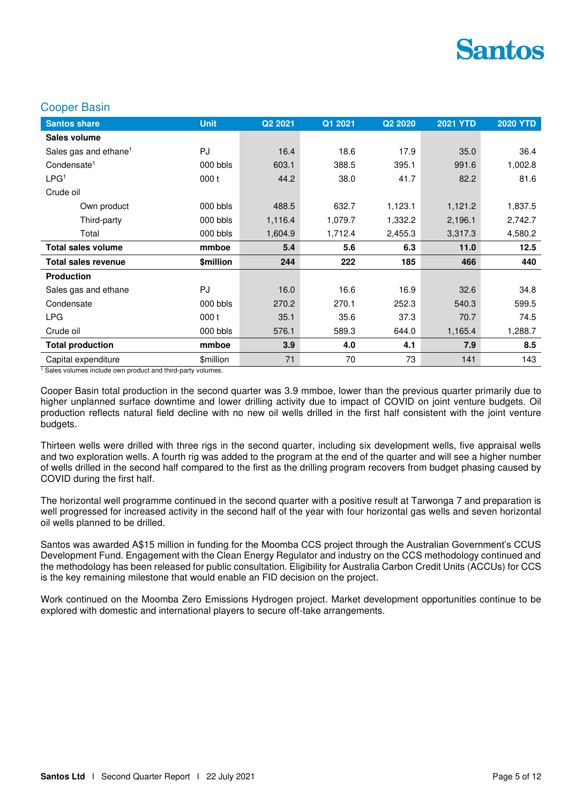#### Cooper Basin

| <b>Santos share</b>               | <b>Unit</b> | Q <sub>2</sub> 2021 | Q1 2021 | Q <sub>2</sub> 20 <sub>20</sub> | <b>2021 YTD</b> | <b>2020 YTD</b> |
|-----------------------------------|-------------|---------------------|---------|---------------------------------|-----------------|-----------------|
| Sales volume                      |             |                     |         |                                 |                 |                 |
| Sales gas and ethane <sup>1</sup> | PJ          | 16.4                | 18.6    | 17.9                            | 35.0            | 36.4            |
| Condensate <sup>1</sup>           | 000 bbls    | 603.1               | 388.5   | 395.1                           | 991.6           | 1,002.8         |
| LPG <sup>1</sup>                  | 000t        | 44.2                | 38.0    | 41.7                            | 82.2            | 81.6            |
| Crude oil                         |             |                     |         |                                 |                 |                 |
| Own product                       | 000 bbls    | 488.5               | 632.7   | 1,123.1                         | 1,121.2         | 1,837.5         |
| Third-party                       | 000 bbls    | 1,116.4             | 1,079.7 | 1,332.2                         | 2,196.1         | 2,742.7         |
| Total                             | 000 bbls    | 1,604.9             | 1,712.4 | 2,455.3                         | 3,317.3         | 4,580.2         |
|                                   |             |                     |         |                                 |                 |                 |
| <b>Total sales volume</b>         | mmboe       | 5.4                 | 5.6     | 6.3                             | 11.0            | 12.5            |
| <b>Total sales revenue</b>        | \$million   | 244                 | 222     | 185                             | 466             | 440             |
| <b>Production</b>                 |             |                     |         |                                 |                 |                 |
| Sales gas and ethane              | PJ          | 16.0                | 16.6    | 16.9                            | 32.6            | 34.8            |
| Condensate                        | 000 bbls    | 270.2               | 270.1   | 252.3                           | 540.3           | 599.5           |
| <b>LPG</b>                        | 000t        | 35.1                | 35.6    | 37.3                            | 70.7            | 74.5            |
| Crude oil                         | $000$ bbls  | 576.1               | 589.3   | 644.0                           | 1,165.4         | 1,288.7         |
| <b>Total production</b>           | mmboe       | 3.9                 | 4.0     | 4.1                             | 7.9             | 8.5             |

<sup>1</sup> Sales volumes include own product and third-party volumes.

Cooper Basin total production in the second quarter was 3.9 mmboe, lower than the previous quarter primarily due to higher unplanned surface downtime and lower drilling activity due to impact of COVID on joint venture budgets. Oil production reflects natural field decline with no new oil wells drilled in the first half consistent with the joint venture budgets.

Thirteen wells were drilled with three rigs in the second quarter, including six development wells, five appraisal wells and two exploration wells. A fourth rig was added to the program at the end of the quarter and will see a higher number of wells drilled in the second half compared to the first as the drilling program recovers from budget phasing caused by COVID during the first half.

The horizontal well programme continued in the second quarter with a positive result at Tarwonga 7 and preparation is well progressed for increased activity in the second half of the year with four horizontal gas wells and seven horizontal oil wells planned to be drilled.

Santos was awarded A\$15 million in funding for the Moomba CCS project through the Australian Government's CCUS Development Fund. Engagement with the Clean Energy Regulator and industry on the CCS methodology continued and the methodology has been released for public consultation. Eligibility for Australia Carbon Credit Units (ACCUs) for CCS is the key remaining milestone that would enable an FID decision on the project.

Work continued on the Moomba Zero Emissions Hydrogen project. Market development opportunities continue to be explored with domestic and international players to secure off-take arrangements.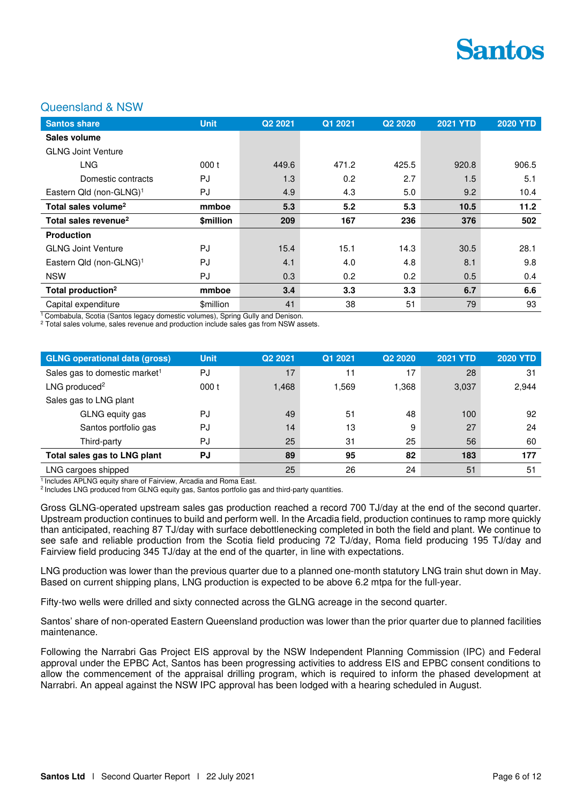

#### Queensland & NSW

| <b>Santos share</b>                 | <b>Unit</b> | Q2 2021 | Q1 2021 | Q <sub>2</sub> 2020 | <b>2021 YTD</b> | <b>2020 YTD</b> |
|-------------------------------------|-------------|---------|---------|---------------------|-----------------|-----------------|
| Sales volume                        |             |         |         |                     |                 |                 |
| <b>GLNG Joint Venture</b>           |             |         |         |                     |                 |                 |
| <b>LNG</b>                          | 000t        | 449.6   | 471.2   | 425.5               | 920.8           | 906.5           |
| Domestic contracts                  | PJ          | 1.3     | 0.2     | 2.7                 | 1.5             | 5.1             |
| Eastern Qld (non-GLNG) <sup>1</sup> | PJ          | 4.9     | 4.3     | 5.0                 | 9.2             | 10.4            |
| Total sales volume <sup>2</sup>     | mmboe       | 5.3     | 5.2     | 5.3                 | 10.5            | 11.2            |
| Total sales revenue <sup>2</sup>    | \$million   | 209     | 167     | 236                 | 376             | 502             |
| <b>Production</b>                   |             |         |         |                     |                 |                 |
| <b>GLNG Joint Venture</b>           | PJ          | 15.4    | 15.1    | 14.3                | 30.5            | 28.1            |
| Eastern Qld (non-GLNG) <sup>1</sup> | PJ          | 4.1     | 4.0     | 4.8                 | 8.1             | 9.8             |
| <b>NSW</b>                          | PJ          | 0.3     | 0.2     | 0.2                 | 0.5             | 0.4             |
| Total production <sup>2</sup>       | mmboe       | 3.4     | 3.3     | 3.3                 | 6.7             | 6.6             |
| Capital expenditure                 | \$million   | 41      | 38      | 51                  | 79              | 93              |

<sup>1</sup> Combabula, Scotia (Santos legacy domestic volumes), Spring Gully and Denison.

2 Total sales volume, sales revenue and production include sales gas from NSW assets.

| <b>GLNG operational data (gross)</b>      | <b>Unit</b> | Q <sub>2</sub> 2021 | Q1 2021 | Q <sub>2</sub> 20 <sub>20</sub> | <b>2021 YTD</b> | <b>2020 YTD</b> |
|-------------------------------------------|-------------|---------------------|---------|---------------------------------|-----------------|-----------------|
| Sales gas to domestic market <sup>1</sup> | PJ          | 17                  | 11      | 17                              | 28              | -31             |
| LNG produced <sup>2</sup>                 | 000t        | 1,468               | 1.569   | 1,368                           | 3,037           | 2,944           |
| Sales gas to LNG plant                    |             |                     |         |                                 |                 |                 |
| GLNG equity gas                           | PJ          | 49                  | 51      | 48                              | 100             | 92              |
| Santos portfolio gas                      | PJ          | 14                  | 13      | 9                               | 27              | 24              |
| Third-party                               | PJ          | 25                  | 31      | 25                              | 56              | 60              |
| Total sales gas to LNG plant              | <b>PJ</b>   | 89                  | 95      | 82                              | 183             | 177             |
| LNG cargoes shipped                       |             | 25                  | 26      | 24                              | 51              | 51              |

<sup>1</sup> Includes APLNG equity share of Fairview, Arcadia and Roma East.

<sup>2</sup> Includes LNG produced from GLNG equity gas, Santos portfolio gas and third-party quantities.

Gross GLNG-operated upstream sales gas production reached a record 700 TJ/day at the end of the second quarter. Upstream production continues to build and perform well. In the Arcadia field, production continues to ramp more quickly than anticipated, reaching 87 TJ/day with surface debottlenecking completed in both the field and plant. We continue to see safe and reliable production from the Scotia field producing 72 TJ/day, Roma field producing 195 TJ/day and Fairview field producing 345 TJ/day at the end of the quarter, in line with expectations.

LNG production was lower than the previous quarter due to a planned one-month statutory LNG train shut down in May. Based on current shipping plans, LNG production is expected to be above 6.2 mtpa for the full-year.

Fifty-two wells were drilled and sixty connected across the GLNG acreage in the second quarter.

Santos' share of non-operated Eastern Queensland production was lower than the prior quarter due to planned facilities maintenance.

Following the Narrabri Gas Project EIS approval by the NSW Independent Planning Commission (IPC) and Federal approval under the EPBC Act, Santos has been progressing activities to address EIS and EPBC consent conditions to allow the commencement of the appraisal drilling program, which is required to inform the phased development at Narrabri. An appeal against the NSW IPC approval has been lodged with a hearing scheduled in August.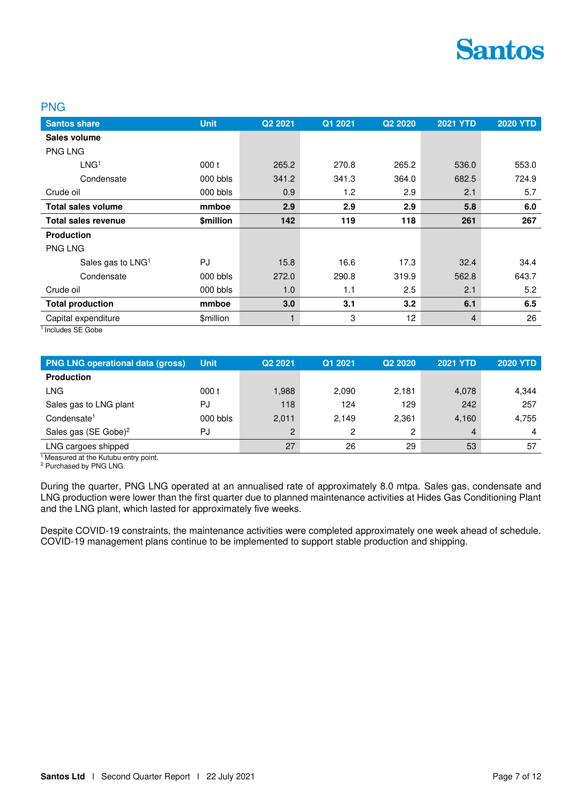#### PNG

| <b>Santos share</b>           | <b>Unit</b> | Q <sub>2</sub> 2021 | Q1 2021 | Q <sub>2</sub> 20 <sub>20</sub> | <b>2021 YTD</b> | <b>2020 YTD</b> |
|-------------------------------|-------------|---------------------|---------|---------------------------------|-----------------|-----------------|
| Sales volume                  |             |                     |         |                                 |                 |                 |
| <b>PNG LNG</b>                |             |                     |         |                                 |                 |                 |
| LNG <sup>1</sup>              | 000t        | 265.2               | 270.8   | 265.2                           | 536.0           | 553.0           |
| Condensate                    | 000 bbls    | 341.2               | 341.3   | 364.0                           | 682.5           | 724.9           |
| Crude oil                     | 000 bbls    | 0.9                 | 1.2     | 2.9                             | 2.1             | 5.7             |
| <b>Total sales volume</b>     | mmboe       | 2.9                 | 2.9     | 2.9                             | 5.8             | 6.0             |
| <b>Total sales revenue</b>    | \$million   | 142                 | 119     | 118                             | 261             | 267             |
| <b>Production</b>             |             |                     |         |                                 |                 |                 |
| <b>PNG LNG</b>                |             |                     |         |                                 |                 |                 |
| Sales gas to LNG <sup>1</sup> | PJ          | 15.8                | 16.6    | 17.3                            | 32.4            | 34.4            |
| Condensate                    | 000 bbls    | 272.0               | 290.8   | 319.9                           | 562.8           | 643.7           |
| Crude oil                     | 000 bbls    | 1.0                 | 1.1     | 2.5                             | 2.1             | 5.2             |
| <b>Total production</b>       | mmboe       | 3.0                 | 3.1     | 3.2                             | 6.1             | 6.5             |
| Capital expenditure           | \$million   | 1                   | 3       | 12                              | $\overline{4}$  | 26              |

<sup>1</sup> Includes SE Gobe

| <b>PNG LNG operational data (gross)</b> | <b>Uniti</b> | Q <sub>2</sub> 2021 | Q1 2021 | Q <sub>2</sub> 20 <sub>20</sub> | <b>2021 YTD</b> | <b>2020 YTD</b> |
|-----------------------------------------|--------------|---------------------|---------|---------------------------------|-----------------|-----------------|
| <b>Production</b>                       |              |                     |         |                                 |                 |                 |
| LNG.                                    | 000 t        | 1,988               | 2.090   | 2.181                           | 4,078           | 4,344           |
| Sales gas to LNG plant                  | PJ           | 118                 | 124     | 129                             | 242             | 257             |
| Condensate <sup>1</sup>                 | $000$ bbls   | 2,011               | 2.149   | 2.361                           | 4.160           | 4,755           |
| Sales gas (SE Gobe) <sup>2</sup>        | PJ           | っ                   | 2       | 2                               | 4               | 4               |
| LNG cargoes shipped                     |              | 27                  | 26      | 29                              | 53              | 57              |

<sup>1</sup> Measured at the Kutubu entry point.

2 Purchased by PNG LNG.

During the quarter, PNG LNG operated at an annualised rate of approximately 8.0 mtpa. Sales gas, condensate and LNG production were lower than the first quarter due to planned maintenance activities at Hides Gas Conditioning Plant and the LNG plant, which lasted for approximately five weeks.

Despite COVID-19 constraints, the maintenance activities were completed approximately one week ahead of schedule. COVID-19 management plans continue to be implemented to support stable production and shipping.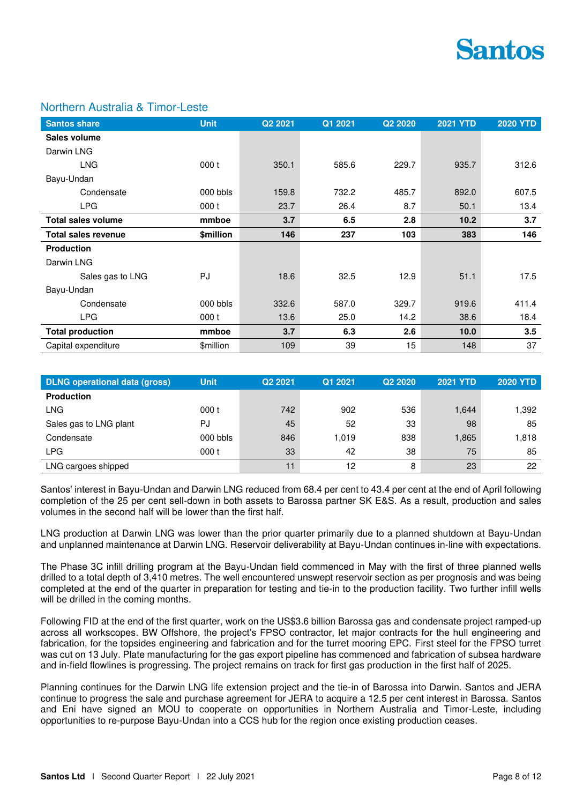

### Northern Australia & Timor-Leste

| <b>Santos share</b>        | <b>Unit</b> | Q2 2021 | Q1 2021 | Q2 2020 | <b>2021 YTD</b> | <b>2020 YTD</b> |
|----------------------------|-------------|---------|---------|---------|-----------------|-----------------|
| Sales volume               |             |         |         |         |                 |                 |
| Darwin LNG                 |             |         |         |         |                 |                 |
| <b>LNG</b>                 | 000t        | 350.1   | 585.6   | 229.7   | 935.7           | 312.6           |
| Bayu-Undan                 |             |         |         |         |                 |                 |
| Condensate                 | 000 bbls    | 159.8   | 732.2   | 485.7   | 892.0           | 607.5           |
| <b>LPG</b>                 | 000t        | 23.7    | 26.4    | 8.7     | 50.1            | 13.4            |
| <b>Total sales volume</b>  | mmboe       | 3.7     | 6.5     | 2.8     | 10.2            | 3.7             |
| <b>Total sales revenue</b> | \$million   | 146     | 237     | 103     | 383             | 146             |
| <b>Production</b>          |             |         |         |         |                 |                 |
| Darwin LNG                 |             |         |         |         |                 |                 |
| Sales gas to LNG           | PJ          | 18.6    | 32.5    | 12.9    | 51.1            | 17.5            |
| Bayu-Undan                 |             |         |         |         |                 |                 |
| Condensate                 | 000 bbls    | 332.6   | 587.0   | 329.7   | 919.6           | 411.4           |
| <b>LPG</b>                 | 000t        | 13.6    | 25.0    | 14.2    | 38.6            | 18.4            |
| <b>Total production</b>    | mmboe       | 3.7     | 6.3     | 2.6     | 10.0            | 3.5             |
| Capital expenditure        | \$million   | 109     | 39      | 15      | 148             | 37              |

| <b>DLNG operational data (gross)</b> | <b>Unit</b> | Q <sub>2</sub> 2021 | Q1 2021 | Q <sub>2</sub> 20 <sub>20</sub> | <b>2021 YTD</b> | <b>2020 YTD</b> |
|--------------------------------------|-------------|---------------------|---------|---------------------------------|-----------------|-----------------|
| <b>Production</b>                    |             |                     |         |                                 |                 |                 |
| <b>LNG</b>                           | 000t        | 742                 | 902     | 536                             | 1,644           | 1,392           |
| Sales gas to LNG plant               | PJ          | 45                  | 52      | 33                              | 98              | 85              |
| Condensate                           | 000 bbls    | 846                 | 1.019   | 838                             | 1,865           | 1,818           |
| <b>LPG</b>                           | 000 t       | 33                  | 42      | 38                              | 75              | 85              |
| LNG cargoes shipped                  |             | 11                  | 12      | 8                               | 23              | 22              |

Santos' interest in Bayu-Undan and Darwin LNG reduced from 68.4 per cent to 43.4 per cent at the end of April following completion of the 25 per cent sell-down in both assets to Barossa partner SK E&S. As a result, production and sales volumes in the second half will be lower than the first half.

LNG production at Darwin LNG was lower than the prior quarter primarily due to a planned shutdown at Bayu-Undan and unplanned maintenance at Darwin LNG. Reservoir deliverability at Bayu-Undan continues in-line with expectations.

The Phase 3C infill drilling program at the Bayu-Undan field commenced in May with the first of three planned wells drilled to a total depth of 3,410 metres. The well encountered unswept reservoir section as per prognosis and was being completed at the end of the quarter in preparation for testing and tie-in to the production facility. Two further infill wells will be drilled in the coming months.

Following FID at the end of the first quarter, work on the US\$3.6 billion Barossa gas and condensate project ramped-up across all workscopes. BW Offshore, the project's FPSO contractor, let major contracts for the hull engineering and fabrication, for the topsides engineering and fabrication and for the turret mooring EPC. First steel for the FPSO turret was cut on 13 July. Plate manufacturing for the gas export pipeline has commenced and fabrication of subsea hardware and in-field flowlines is progressing. The project remains on track for first gas production in the first half of 2025.

Planning continues for the Darwin LNG life extension project and the tie-in of Barossa into Darwin. Santos and JERA continue to progress the sale and purchase agreement for JERA to acquire a 12.5 per cent interest in Barossa. Santos and Eni have signed an MOU to cooperate on opportunities in Northern Australia and Timor-Leste, including opportunities to re-purpose Bayu-Undan into a CCS hub for the region once existing production ceases.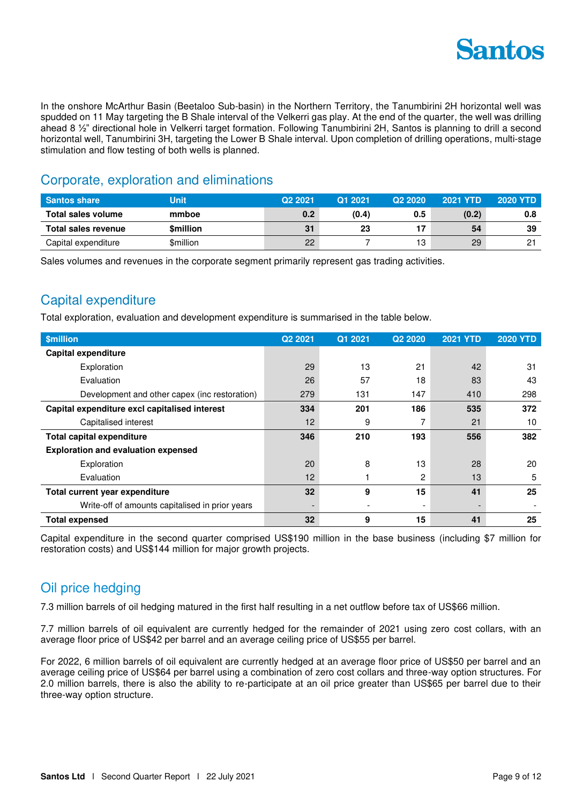

In the onshore McArthur Basin (Beetaloo Sub-basin) in the Northern Territory, the Tanumbirini 2H horizontal well was spudded on 11 May targeting the B Shale interval of the Velkerri gas play. At the end of the quarter, the well was drilling ahead 8 ½" directional hole in Velkerri target formation. Following Tanumbirini 2H, Santos is planning to drill a second horizontal well, Tanumbirini 3H, targeting the Lower B Shale interval. Upon completion of drilling operations, multi-stage stimulation and flow testing of both wells is planned.

### Corporate, exploration and eliminations

| <b>Santos share</b> | Unit            | Q <sub>2</sub> 2021 | Q1 2021 | Q <sub>2</sub> 20 <sub>20</sub> | <b>2021 YTD</b> | <b>2020 YTD</b> |
|---------------------|-----------------|---------------------|---------|---------------------------------|-----------------|-----------------|
| Total sales volume  | mmboe           | 0.2                 | (0.4)   | 0.5                             | (0.2)           | 0.8             |
| Total sales revenue | <b>Smillion</b> | 31                  | 23      |                                 | 54              | 39              |
|                     |                 |                     |         |                                 |                 |                 |

Sales volumes and revenues in the corporate segment primarily represent gas trading activities.

## Capital expenditure

Total exploration, evaluation and development expenditure is summarised in the table below.

| <b>\$million</b>                                | Q <sub>2</sub> 2021      | Q1 2021 | Q <sub>2</sub> 2020      | <b>2021 YTD</b>          | <b>2020 YTD</b> |
|-------------------------------------------------|--------------------------|---------|--------------------------|--------------------------|-----------------|
| <b>Capital expenditure</b>                      |                          |         |                          |                          |                 |
| Exploration                                     | 29                       | 13      | 21                       | 42                       | 31              |
| Evaluation                                      | 26                       | 57      | 18                       | 83                       | 43              |
| Development and other capex (inc restoration)   | 279                      | 131     | 147                      | 410                      | 298             |
| Capital expenditure excl capitalised interest   | 334                      | 201     | 186                      | 535                      | 372             |
| Capitalised interest                            | 12                       | 9       |                          | 21                       | 10              |
| <b>Total capital expenditure</b>                | 346                      | 210     | 193                      | 556                      | 382             |
| <b>Exploration and evaluation expensed</b>      |                          |         |                          |                          |                 |
| Exploration                                     | 20                       | 8       | 13                       | 28                       | 20              |
| Evaluation                                      | 12                       |         | 2                        | 13                       | 5               |
| Total current year expenditure                  | 32                       | 9       | 15                       | 41                       | 25              |
| Write-off of amounts capitalised in prior years | $\overline{\phantom{a}}$ |         | $\overline{\phantom{a}}$ | $\overline{\phantom{0}}$ |                 |
| <b>Total expensed</b>                           | 32                       | 9       | 15                       | 41                       | 25              |

Capital expenditure in the second quarter comprised US\$190 million in the base business (including \$7 million for restoration costs) and US\$144 million for major growth projects.

## Oil price hedging

7.3 million barrels of oil hedging matured in the first half resulting in a net outflow before tax of US\$66 million.

7.7 million barrels of oil equivalent are currently hedged for the remainder of 2021 using zero cost collars, with an average floor price of US\$42 per barrel and an average ceiling price of US\$55 per barrel.

For 2022, 6 million barrels of oil equivalent are currently hedged at an average floor price of US\$50 per barrel and an average ceiling price of US\$64 per barrel using a combination of zero cost collars and three-way option structures. For 2.0 million barrels, there is also the ability to re-participate at an oil price greater than US\$65 per barrel due to their three-way option structure.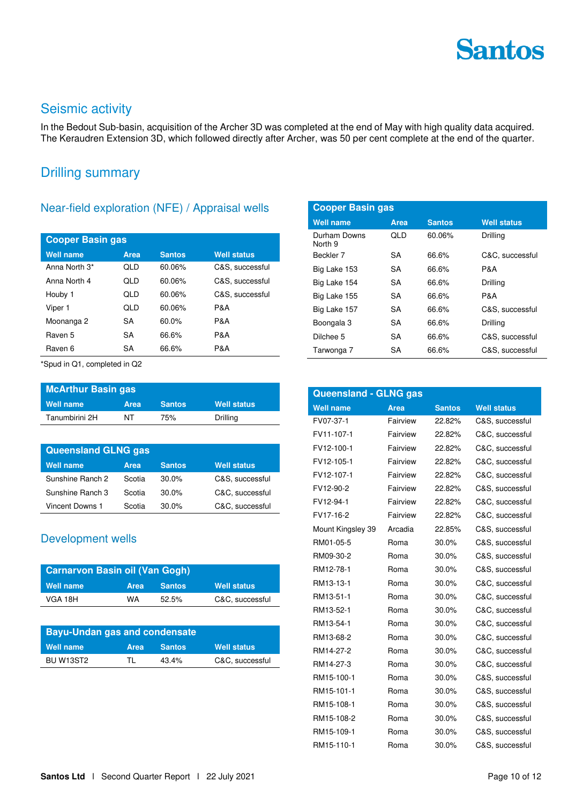## Seismic activity

In the Bedout Sub-basin, acquisition of the Archer 3D was completed at the end of May with high quality data acquired. The Keraudren Extension 3D, which followed directly after Archer, was 50 per cent complete at the end of the quarter.

### Drilling summary

### Near-field exploration (NFE) / Appraisal wells

| <b>Cooper Basin gas</b> |      |               |                    |  |  |  |  |
|-------------------------|------|---------------|--------------------|--|--|--|--|
| <b>Well name</b>        | Area | <b>Santos</b> | <b>Well status</b> |  |  |  |  |
| Anna North 3*           | QLD  | 60.06%        | C&S, successful    |  |  |  |  |
| Anna North 4            | QLD  | 60.06%        | C&S, successful    |  |  |  |  |
| Houby 1                 | QLD  | 60.06%        | C&S, successful    |  |  |  |  |
| Viper 1                 | QLD  | 60.06%        | P&A                |  |  |  |  |
| Moonanga 2              | SA   | 60.0%         | P&A                |  |  |  |  |
| Raven 5                 | SA   | 66.6%         | P&A                |  |  |  |  |
| Raven 6                 | SA   | 66.6%         | P&A                |  |  |  |  |

\*Spud in Q1, completed in Q2

| McArthur Basin gas |             |               |                    |  |  |  |
|--------------------|-------------|---------------|--------------------|--|--|--|
| Well name          | <b>Area</b> | <b>Santos</b> | <b>Well status</b> |  |  |  |
| Tanumbirini 2H     | NT          | 75%           | Drilling           |  |  |  |

| <b>Queensland GLNG gas</b> |        |               |                    |  |  |  |  |
|----------------------------|--------|---------------|--------------------|--|--|--|--|
| <b>Well name</b>           | Area   | <b>Santos</b> | <b>Well status</b> |  |  |  |  |
| Sunshine Ranch 2           | Scotia | $30.0\%$      | C&S, successful    |  |  |  |  |
| Sunshine Ranch 3           | Scotia | 30.0%         | C&C, successful    |  |  |  |  |
| <b>Vincent Downs 1</b>     | Scotia | $30.0\%$      | C&C, successful    |  |  |  |  |

### Development wells

| <b>Carnarvon Basin oil (Van Gogh)</b> |             |               |                    |  |  |
|---------------------------------------|-------------|---------------|--------------------|--|--|
| Well name                             | <b>Area</b> | <b>Santos</b> | <b>Well status</b> |  |  |
| VGA 18H                               | WA          | 52.5%         | C&C, successful    |  |  |

| <b>Bayu-Undan gas and condensate</b> |      |               |                    |  |  |  |
|--------------------------------------|------|---------------|--------------------|--|--|--|
| Well name                            | Area | <b>Santos</b> | <b>Well status</b> |  |  |  |
| BU W <sub>13</sub> ST <sub>2</sub>   | ΤL   | 43.4%         | C&C, successful    |  |  |  |

| <b>Cooper Basin gas</b> |      |               |                    |  |  |  |
|-------------------------|------|---------------|--------------------|--|--|--|
| Well name               | Area | <b>Santos</b> | <b>Well status</b> |  |  |  |
| Durham Downs<br>North 9 | QLD  | 60.06%        | Drilling           |  |  |  |
| Beckler 7               | SA   | 66.6%         | C&C. successful    |  |  |  |
| Big Lake 153            | SA.  | 66.6%         | P&A                |  |  |  |
| Big Lake 154            | SA.  | 66.6%         | Drilling           |  |  |  |
| Big Lake 155            | SA   | 66.6%         | P&A                |  |  |  |
| Big Lake 157            | SA   | 66.6%         | C&S. successful    |  |  |  |
| Boongala 3              | SA   | 66.6%         | Drilling           |  |  |  |
| Dilchee 5               | SA   | 66.6%         | C&S. successful    |  |  |  |
| Tarwonga 7              | SA   | 66.6%         | C&S, successful    |  |  |  |

| <b>Queensland - GLNG gas</b> |             |               |                    |  |  |  |
|------------------------------|-------------|---------------|--------------------|--|--|--|
| <b>Well name</b>             | <b>Area</b> | <b>Santos</b> | <b>Well status</b> |  |  |  |
| FV07-37-1                    | Fairview    | 22.82%        | C&S, successful    |  |  |  |
| FV11-107-1                   | Fairview    | 22.82%        | C&C, successful    |  |  |  |
| FV12-100-1                   | Fairview    | 22.82%        | C&C, successful    |  |  |  |
| FV12-105-1                   | Fairview    | 22.82%        | C&C, successful    |  |  |  |
| FV12-107-1                   | Fairview    | 22.82%        | C&C, successful    |  |  |  |
| FV12-90-2                    | Fairview    | 22.82%        | C&S, successful    |  |  |  |
| FV12-94-1                    | Fairview    | 22.82%        | C&C, successful    |  |  |  |
| FV17-16-2                    | Fairview    | 22.82%        | C&C, successful    |  |  |  |
| Mount Kingsley 39            | Arcadia     | 22.85%        | C&S, successful    |  |  |  |
| RM01-05-5                    | Roma        | 30.0%         | C&S, successful    |  |  |  |
| RM09-30-2                    | Roma        | 30.0%         | C&S, successful    |  |  |  |
| RM12-78-1                    | Roma        | 30.0%         | C&S, successful    |  |  |  |
| RM13-13-1                    | Roma        | 30.0%         | C&C, successful    |  |  |  |
| RM13-51-1                    | Roma        | 30.0%         | C&C, successful    |  |  |  |
| RM13-52-1                    | Roma        | 30.0%         | C&C, successful    |  |  |  |
| RM13-54-1                    | Roma        | 30.0%         | C&C, successful    |  |  |  |
| RM13-68-2                    | Roma        | 30.0%         | C&C, successful    |  |  |  |
| RM14-27-2                    | Roma        | 30.0%         | C&C, successful    |  |  |  |
| RM14-27-3                    | Roma        | 30.0%         | C&C, successful    |  |  |  |
| RM15-100-1                   | Roma        | 30.0%         | C&S, successful    |  |  |  |
| RM15-101-1                   | Roma        | 30.0%         | C&S, successful    |  |  |  |
| RM15-108-1                   | Roma        | 30.0%         | C&S, successful    |  |  |  |
| RM15-108-2                   | Roma        | 30.0%         | C&S, successful    |  |  |  |
| RM15-109-1                   | Roma        | 30.0%         | C&S, successful    |  |  |  |
| RM15-110-1                   | Roma        | 30.0%         | C&S, successful    |  |  |  |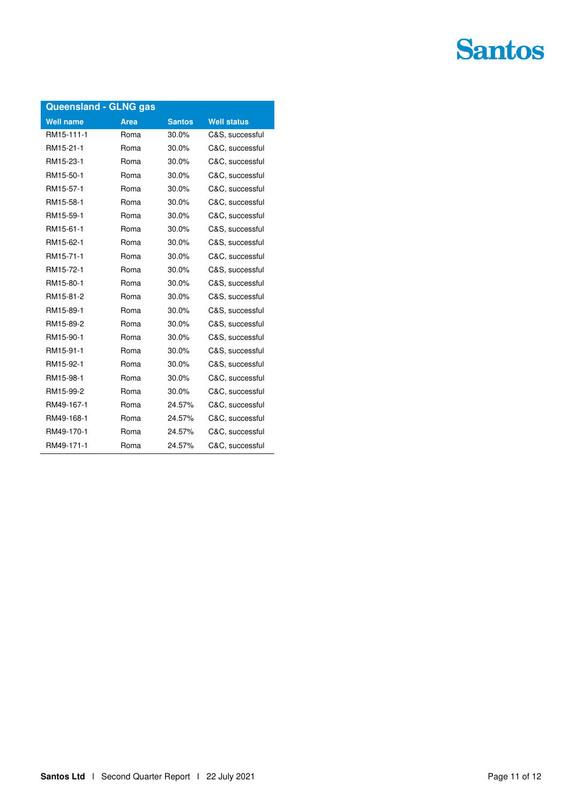| <b>Queensland - GLNG gas</b> |             |               |                    |  |
|------------------------------|-------------|---------------|--------------------|--|
| <b>Well name</b>             | <b>Area</b> | <b>Santos</b> | <b>Well status</b> |  |
| RM15-111-1                   | Roma        | 30.0%         | C&S, successful    |  |
| RM15-21-1                    | Roma        | 30.0%         | C&C, successful    |  |
| RM15-23-1                    | Roma        | 30.0%         | C&C, successful    |  |
| RM15-50-1                    | Roma        | 30.0%         | C&C, successful    |  |
| RM15-57-1                    | Roma        | 30.0%         | C&C, successful    |  |
| RM15-58-1                    | Roma        | 30.0%         | C&C, successful    |  |
| RM15-59-1                    | Roma        | 30.0%         | C&C, successful    |  |
| RM15-61-1                    | Roma        | 30.0%         | C&S, successful    |  |
| RM15-62-1                    | Roma        | 30.0%         | C&S, successful    |  |
| RM15-71-1                    | Roma        | 30.0%         | C&C, successful    |  |
| RM15-72-1                    | Roma        | 30.0%         | C&S, successful    |  |
| RM15-80-1                    | Roma        | 30.0%         | C&S, successful    |  |
| RM15-81-2                    | Roma        | 30.0%         | C&S, successful    |  |
| RM15-89-1                    | Roma        | 30.0%         | C&S, successful    |  |
| RM15-89-2                    | Roma        | 30.0%         | C&S, successful    |  |
| RM15-90-1                    | Roma        | 30.0%         | C&S, successful    |  |
| RM15-91-1                    | Roma        | 30.0%         | C&S, successful    |  |
| RM15-92-1                    | Roma        | 30.0%         | C&S, successful    |  |
| RM15-98-1                    | Roma        | 30.0%         | C&C, successful    |  |
| RM15-99-2                    | Roma        | 30.0%         | C&C, successful    |  |
| RM49-167-1                   | Roma        | 24.57%        | C&C, successful    |  |
| RM49-168-1                   | Roma        | 24.57%        | C&C, successful    |  |
| RM49-170-1                   | Roma        | 24.57%        | C&C, successful    |  |
| RM49-171-1                   | Roma        | 24.57%        | C&C, successful    |  |